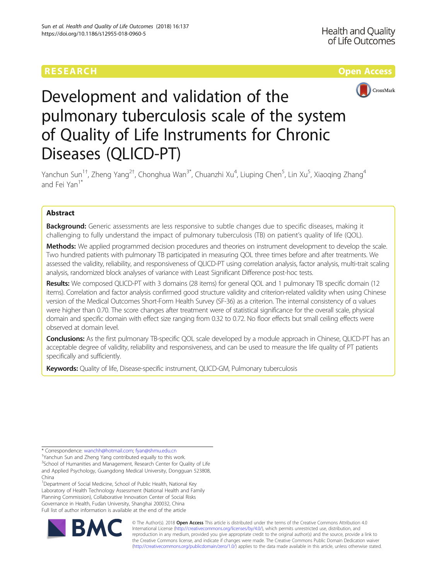# RESEARCH **RESEARCH CONSUMING THE CONSUMING TEACHER CONSUMING THE CONSUMING TEACHER CONSUMING THE CONSUMING TEACHER CONSUMING THE CONSUMING TEACHER CONSUMING THE CONSUMING TEACHER CONSUMING THE CONSUMING THE CONSUMING THE**



# Development and validation of the pulmonary tuberculosis scale of the system of Quality of Life Instruments for Chronic Diseases (QLICD-PT)

Yanchun Sun<sup>1†</sup>, Zheng Yang<sup>2†</sup>, Chonghua Wan<sup>3\*</sup>, Chuanzhi Xu<sup>4</sup>, Liuping Chen<sup>5</sup>, Lin Xu<sup>5</sup>, Xiaoqing Zhang<sup>4</sup> and Fei Yan<sup>1\*</sup>

# Abstract

Background: Generic assessments are less responsive to subtle changes due to specific diseases, making it challenging to fully understand the impact of pulmonary tuberculosis (TB) on patient's quality of life (QOL).

Methods: We applied programmed decision procedures and theories on instrument development to develop the scale. Two hundred patients with pulmonary TB participated in measuring QOL three times before and after treatments. We assessed the validity, reliability, and responsiveness of QLICD-PT using correlation analysis, factor analysis, multi-trait scaling analysis, randomized block analyses of variance with Least Significant Difference post-hoc tests.

Results: We composed QLICD-PT with 3 domains (28 items) for general QOL and 1 pulmonary TB specific domain (12 items). Correlation and factor analysis confirmed good structure validity and criterion-related validity when using Chinese version of the Medical Outcomes Short-Form Health Survey (SF-36) as a criterion. The internal consistency of α values were higher than 0.70. The score changes after treatment were of statistical significance for the overall scale, physical domain and specific domain with effect size ranging from 0.32 to 0.72. No floor effects but small ceiling effects were observed at domain level.

**Conclusions:** As the first pulmonary TB-specific QOL scale developed by a module approach in Chinese, QLICD-PT has an acceptable degree of validity, reliability and responsiveness, and can be used to measure the life quality of PT patients specifically and sufficiently.

Keywords: Quality of life, Disease-specific instrument, QLICD-GM, Pulmonary tuberculosis

Yanchun Sun and Zheng Yang contributed equally to this work. <sup>3</sup>School of Humanities and Management, Research Center for Quality of Life and Applied Psychology, Guangdong Medical University, Dongguan 523808, China

<sup>1</sup>Department of Social Medicine, School of Public Health, National Key Laboratory of Health Technology Assessment (National Health and Family Planning Commission), Collaborative Innovation Center of Social Risks Governance in Health, Fudan University, Shanghai 200032, China Full list of author information is available at the end of the article



© The Author(s). 2018 Open Access This article is distributed under the terms of the Creative Commons Attribution 4.0 International License [\(http://creativecommons.org/licenses/by/4.0/](http://creativecommons.org/licenses/by/4.0/)), which permits unrestricted use, distribution, and reproduction in any medium, provided you give appropriate credit to the original author(s) and the source, provide a link to the Creative Commons license, and indicate if changes were made. The Creative Commons Public Domain Dedication waiver [\(http://creativecommons.org/publicdomain/zero/1.0/](http://creativecommons.org/publicdomain/zero/1.0/)) applies to the data made available in this article, unless otherwise stated.

<sup>\*</sup> Correspondence: [wanchh@hotmail.com](mailto:wanchh@hotmail.com); [fyan@shmu.edu.cn](mailto:fyan@shmu.edu.cn) †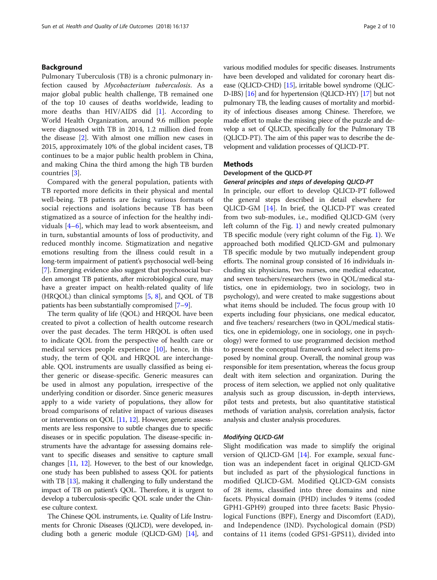# Background

Pulmonary Tuberculosis (TB) is a chronic pulmonary infection caused by Mycobacterium tuberculosis. As a major global public health challenge, TB remained one of the top 10 causes of deaths worldwide, leading to more deaths than HIV/AIDS did [\[1](#page-9-0)]. According to World Health Organization, around 9.6 million people were diagnosed with TB in 2014, 1.2 million died from the disease [[2](#page-9-0)]. With almost one million new cases in 2015, approximately 10% of the global incident cases, TB continues to be a major public health problem in China, and making China the third among the high TB burden countries [[3\]](#page-9-0).

Compared with the general population, patients with TB reported more deficits in their physical and mental well-being. TB patients are facing various formats of social rejections and isolations because TB has been stigmatized as a source of infection for the healthy individuals [[4](#page-9-0)–[6\]](#page-9-0), which may lead to work absenteeism, and in turn, substantial amounts of loss of productivity, and reduced monthly income. Stigmatization and negative emotions resulting from the illness could result in a long-term impairment of patient's psychosocial well-being [[7\]](#page-9-0). Emerging evidence also suggest that psychosocial burden amongst TB patients, after microbiological cure, may have a greater impact on health-related quality of life (HRQOL) than clinical symptoms [[5,](#page-9-0) [8](#page-9-0)], and QOL of TB patients has been substantially compromised [\[7](#page-9-0)–[9\]](#page-9-0).

The term quality of life (QOL) and HRQOL have been created to pivot a collection of health outcome research over the past decades. The term HRQOL is often used to indicate QOL from the perspective of health care or medical services people experience [[10](#page-9-0)], hence, in this study, the term of QOL and HRQOL are interchangeable. QOL instruments are usually classified as being either generic or disease-specific. Generic measures can be used in almost any population, irrespective of the underlying condition or disorder. Since generic measures apply to a wide variety of populations, they allow for broad comparisons of relative impact of various diseases or interventions on QOL [[11](#page-9-0), [12](#page-9-0)]. However, generic assessments are less responsive to subtle changes due to specific diseases or in specific population. The disease-specific instruments have the advantage for assessing domains relevant to specific diseases and sensitive to capture small changes [[11](#page-9-0), [12\]](#page-9-0). However, to the best of our knowledge, one study has been published to assess QOL for patients with TB [\[13\]](#page-9-0), making it challenging to fully understand the impact of TB on patient's QOL. Therefore, it is urgent to develop a tuberculosis-specific QOL scale under the Chinese culture context.

The Chinese QOL instruments, i.e. Quality of Life Instruments for Chronic Diseases (QLICD), were developed, including both a generic module (QLICD-GM) [\[14](#page-9-0)], and various modified modules for specific diseases. Instruments have been developed and validated for coronary heart disease (QLICD-CHD) [\[15](#page-9-0)], irritable bowel syndrome (QLIC-D-IBS) [\[16\]](#page-9-0) and for hypertension (QLICD-HY) [\[17\]](#page-9-0) but not pulmonary TB, the leading causes of mortality and morbidity of infectious diseases among Chinese. Therefore, we made effort to make the missing piece of the puzzle and develop a set of QLICD, specifically for the Pulmonary TB (QLICD-PT). The aim of this paper was to describe the development and validation processes of QLICD-PT.

# Methods

# Development of the QLICD-PT

# General principles and steps of developing QLICD-PT

In principle, our effort to develop QLICD-PT followed the general steps described in detail elsewhere for QLICD-GM [[14\]](#page-9-0). In brief, the QLICD-PT was created from two sub-modules, i.e., modified QLICD-GM (very left column of the Fig. [1\)](#page-2-0) and newly created pulmonary TB specific module (very right column of the Fig. [1\)](#page-2-0). We approached both modified QLICD-GM and pulmonary TB specific module by two mutually independent group efforts. The nominal group consisted of 16 individuals including six physicians, two nurses, one medical educator, and seven teachers/researchers (two in QOL/medical statistics, one in epidemiology, two in sociology, two in psychology), and were created to make suggestions about what items should be included. The focus group with 10 experts including four physicians, one medical educator, and five teachers/ researchers (two in QOL/medical statistics, one in epidemiology, one in sociology, one in psychology) were formed to use programmed decision method to present the conceptual framework and select items proposed by nominal group. Overall, the nominal group was responsible for item presentation, whereas the focus group dealt with item selection and organization. During the process of item selection, we applied not only qualitative analysis such as group discussion, in-depth interviews, pilot tests and pretests, but also quantitative statistical methods of variation analysis, correlation analysis, factor analysis and cluster analysis procedures.

# Modifying QLICD-GM

Slight modification was made to simplify the original version of QLICD-GM [[14\]](#page-9-0). For example, sexual function was an independent facet in original QLICD-GM but included as part of the physiological functions in modified QLICD-GM. Modified QLICD-GM consists of 28 items, classified into three domains and nine facets. Physical domain (PHD) includes 9 items (coded GPH1-GPH9) grouped into three facets: Basic Physiological Functions (BPF), Energy and Discomfort (EAD), and Independence (IND). Psychological domain (PSD) contains of 11 items (coded GPS1-GPS11), divided into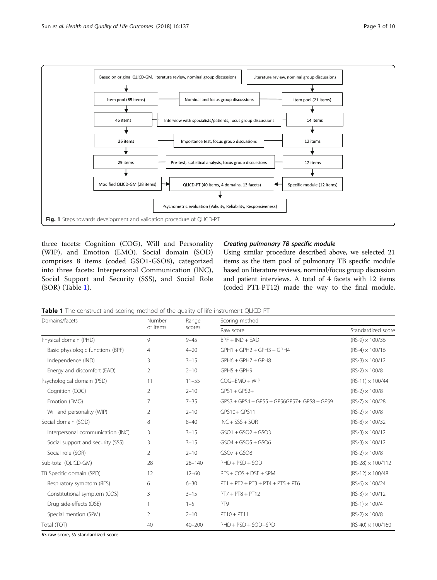<span id="page-2-0"></span>

three facets: Cognition (COG), Will and Personality (WIP), and Emotion (EMO). Social domain (SOD) comprises 8 items (coded GSO1-GSO8), categorized into three facets: Interpersonal Communication (INC), Social Support and Security (SSS), and Social Role (SOR) (Table 1).

# Creating pulmonary TB specific module

Using similar procedure described above, we selected 21 items as the item pool of pulmonary TB specific module based on literature reviews, nominal/focus group discussion and patient interviews. A total of 4 facets with 12 items (coded PT1-PT12) made the way to the final module,

Table 1 The construct and scoring method of the quality of life instrument QLICD-PT

| Domains/facets                    | Number         | Range      | Scoring method                             |                          |  |  |  |  |
|-----------------------------------|----------------|------------|--------------------------------------------|--------------------------|--|--|--|--|
|                                   | of items       | scores     | Raw score                                  | Standardized score       |  |  |  |  |
| Physical domain (PHD)             | 9              | $9 - 45$   | $BPF + IND + EAD$                          | $(RS-9) \times 100/36$   |  |  |  |  |
| Basic physiologic functions (BPF) | $\overline{4}$ | $4 - 20$   | $GPH1 + GPH2 + GPH3 + GPH4$                | $(RS-4) \times 100/16$   |  |  |  |  |
| Independence (IND)                | 3              | $3 - 15$   | $GPH6 + GPH7 + GPH8$                       | $(RS-3) \times 100/12$   |  |  |  |  |
| Energy and discomfort (EAD)       | 2              | $2 - 10$   | GPH5 + GPH9                                | $(RS-2) \times 100/8$    |  |  |  |  |
| Psychological domain (PSD)        | 11             | $11 - 55$  | $COG+EMO + WIP$                            | $(RS-11) \times 100/44$  |  |  |  |  |
| Cognition (COG)                   | 2              | $2 - 10$   | $GPS1 + GPS2 +$                            | $(RS-2) \times 100/8$    |  |  |  |  |
| Emotion (EMO)                     | 7              | $7 - 35$   | GPS3 + GPS4 + GPS5 + GPS6GPS7+ GPS8 + GPS9 | $(RS-7) \times 100/28$   |  |  |  |  |
| Will and personality (WIP)        | 2              | $2 - 10$   | GPS10+ GPS11                               | $(RS-2) \times 100/8$    |  |  |  |  |
| Social domain (SOD)               | 8              | $8 - 40$   | $INC + SSS + SOR$                          | $(RS-8) \times 100/32$   |  |  |  |  |
| Interpersonal communication (INC) | 3              | $3 - 15$   | $GSO1 + GSO2 + GSO3$                       | $(RS-3) \times 100/12$   |  |  |  |  |
| Social support and security (SSS) | 3              | $3 - 15$   | $GSO4 + GSO5 + GSO6$                       | $(RS-3) \times 100/12$   |  |  |  |  |
| Social role (SOR)                 | 2              | $2 - 10$   | $GSO7 + GSO8$                              | $(RS-2) \times 100/8$    |  |  |  |  |
| Sub-total (QLICD-GM)              | 28             | $28 - 140$ | $PHD + PSD + SOD$                          | $(RS-28) \times 100/112$ |  |  |  |  |
| TB Specific domain (SPD)          | 12             | $12 - 60$  | $RES + COS + DSE + SPM$                    | $(RS-12) \times 100/48$  |  |  |  |  |
| Respiratory symptom (RES)         | 6              | $6 - 30$   | $PT1 + PT2 + PT3 + PT4 + PT5 + PT6$        | $(RS-6) \times 100/24$   |  |  |  |  |
| Constitutional symptom (COS)      | 3              | $3 - 15$   | $PT7 + PT8 + PT12$                         | $(RS-3) \times 100/12$   |  |  |  |  |
| Drug side-effects (DSE)           |                | $1 - 5$    | PT <sub>9</sub>                            | $(RS-1) \times 100/4$    |  |  |  |  |
| Special mention (SPM)             | 2              | $2 - 10$   | $PT10 + PT11$                              | $(RS-2) \times 100/8$    |  |  |  |  |
| Total (TOT)                       | 40             | $40 - 200$ | PHD + PSD + SOD+SPD                        | $(RS-40) \times 100/160$ |  |  |  |  |

RS raw score, SS standardized score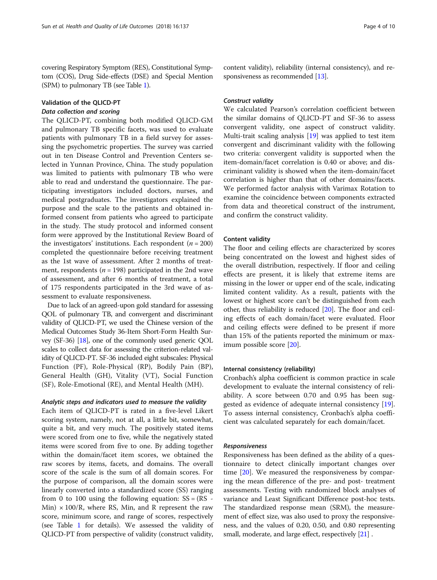covering Respiratory Symptom (RES), Constitutional Symptom (COS), Drug Side-effects (DSE) and Special Mention (SPM) to pulmonary TB (see Table [1](#page-2-0)).

# Validation of the QLICD-PT Data collection and scoring

The QLICD-PT, combining both modified QLICD-GM and pulmonary TB specific facets, was used to evaluate patients with pulmonary TB in a field survey for assessing the psychometric properties. The survey was carried out in ten Disease Control and Prevention Centers selected in Yunnan Province, China. The study population was limited to patients with pulmonary TB who were able to read and understand the questionnaire. The participating investigators included doctors, nurses, and medical postgraduates. The investigators explained the purpose and the scale to the patients and obtained informed consent from patients who agreed to participate in the study. The study protocol and informed consent form were approved by the Institutional Review Board of the investigators' institutions. Each respondent ( $n = 200$ ) completed the questionnaire before receiving treatment as the 1st wave of assessment. After 2 months of treatment, respondents ( $n = 198$ ) participated in the 2nd wave of assessment, and after 6 months of treatment, a total of 175 respondents participated in the 3rd wave of assessment to evaluate responsiveness.

Due to lack of an agreed-upon gold standard for assessing QOL of pulmonary TB, and convergent and discriminant validity of QLICD-PT, we used the Chinese version of the Medical Outcomes Study 36-Item Short-Form Health Survey (SF-36) [\[18\]](#page-9-0), one of the commonly used generic QOL scales to collect data for assessing the criterion-related validity of QLICD-PT. SF-36 included eight subscales: Physical Function (PF), Role-Physical (RP), Bodily Pain (BP), General Health (GH), Vitality (VT), Social Function (SF), Role-Emotional (RE), and Mental Health (MH).

# Analytic steps and indicators used to measure the validity

Each item of QLICD-PT is rated in a five-level Likert scoring system, namely, not at all, a little bit, somewhat, quite a bit, and very much. The positively stated items were scored from one to five, while the negatively stated items were scored from five to one. By adding together within the domain/facet item scores, we obtained the raw scores by items, facets, and domains. The overall score of the scale is the sum of all domain scores. For the purpose of comparison, all the domain scores were linearly converted into a standardized score (SS) ranging from 0 to 100 using the following equation:  $SS = (RS Min) \times 100/R$ , where RS, Min, and R represent the raw score, minimum score, and range of scores, respectively (see Table [1](#page-2-0) for details). We assessed the validity of QLICD-PT from perspective of validity (construct validity, content validity), reliability (internal consistency), and re-sponsiveness as recommended [[13](#page-9-0)].

# Construct validity

We calculated Pearson's correlation coefficient between the similar domains of QLICD-PT and SF-36 to assess convergent validity, one aspect of construct validity. Multi-trait scaling analysis [\[19](#page-9-0)] was applied to test item convergent and discriminant validity with the following two criteria: convergent validity is supported when the item-domain/facet correlation is 0.40 or above; and discriminant validity is showed when the item-domain/facet correlation is higher than that of other domains/facets. We performed factor analysis with Varimax Rotation to examine the coincidence between components extracted from data and theoretical construct of the instrument, and confirm the construct validity.

# Content validity

The floor and ceiling effects are characterized by scores being concentrated on the lowest and highest sides of the overall distribution, respectively. If floor and ceiling effects are present, it is likely that extreme items are missing in the lower or upper end of the scale, indicating limited content validity. As a result, patients with the lowest or highest score can't be distinguished from each other, thus reliability is reduced [\[20\]](#page-9-0). The floor and ceiling effects of each domain/facet were evaluated. Floor and ceiling effects were defined to be present if more than 15% of the patients reported the minimum or maximum possible score [[20\]](#page-9-0).

# Internal consistency (reliability)

Cronbach's alpha coefficient is common practice in scale development to evaluate the internal consistency of reliability. A score between 0.70 and 0.95 has been suggested as evidence of adequate internal consistency [\[19](#page-9-0)]. To assess internal consistency, Cronbach's alpha coefficient was calculated separately for each domain/facet.

#### Responsiveness

Responsiveness has been defined as the ability of a questionnaire to detect clinically important changes over time [[20\]](#page-9-0). We measured the responsiveness by comparing the mean difference of the pre- and post- treatment assessments. Testing with randomized block analyses of variance and Least Significant Difference post-hoc tests. The standardized response mean (SRM), the measurement of effect size, was also used to proxy the responsiveness, and the values of 0.20, 0.50, and 0.80 representing small, moderate, and large effect, respectively [\[21\]](#page-9-0) .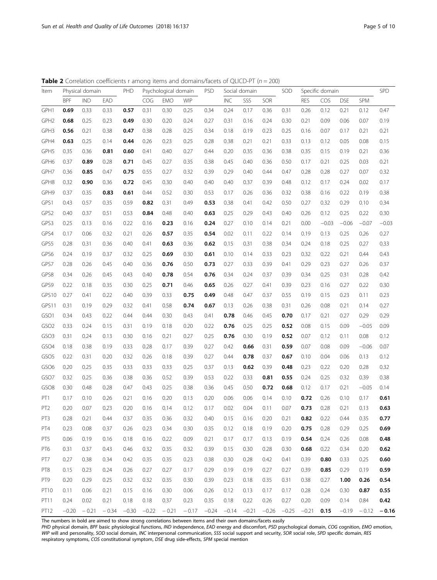| Item             |            | Physical domain |         | PHD     |         | Psychological domain |            | PSD           |            | Social domain |         | SOD     |            | Specific domain |            |         | SPD     |
|------------------|------------|-----------------|---------|---------|---------|----------------------|------------|---------------|------------|---------------|---------|---------|------------|-----------------|------------|---------|---------|
|                  | <b>BPF</b> | <b>IND</b>      | EAD     |         | COG     | <b>EMO</b>           | <b>WIP</b> |               | <b>INC</b> | SSS           | SOR     |         | <b>RES</b> | COS             | <b>DSE</b> | SPM     |         |
| GPH1             | 0.69       | 0.33            | 0.33    | 0.57    | 0.31    | 0.30                 | 0.25       | 0.34          | 0.24       | 0.17          | 0.36    | 0.31    | 0.26       | 0.12            | 0.21       | 0.12    | 0.47    |
| GPH <sub>2</sub> | 0.68       | 0.25            | 0.23    | 0.49    | 0.30    | 0.20                 | 0.24       | 0.27          | 0.31       | 0.16          | 0.24    | 0.30    | 0.21       | 0.09            | 0.06       | 0.07    | 0.19    |
| GPH3             | 0.56       | 0.21            | 0.38    | 0.47    | 0.38    | 0.28                 | 0.25       | 0.34          | 0.18       | 0.19          | 0.23    | 0.25    | 0.16       | 0.07            | 0.17       | 0.21    | 0.21    |
| GPH4             | 0.63       | 0.25            | 0.14    | 0.44    | 0.26    | 0.23                 | 0.25       | 0.28          | 0.38       | 0.21          | 0.21    | 0.33    | 0.13       | 0.12            | 0.05       | 0.08    | 0.15    |
| GPH5             | 0.35       | 0.36            | 0.81    | 0.60    | 0.41    | 0.40                 | 0.27       | 0.44          | 0.20       | 0.35          | 0.36    | 0.38    | 0.35       | 0.15            | 0.19       | 0.21    | 0.36    |
| GPH6             | 0.37       | 0.89            | 0.28    | 0.71    | 0.45    | 0.27                 | 0.35       | 0.38          | 0.45       | 0.40          | 0.36    | 0.50    | 0.17       | 0.21            | 0.25       | 0.03    | 0.21    |
| GPH7             | 0.36       | 0.85            | 0.47    | 0.75    | 0.55    | 0.27                 | 0.32       | 0.39          | 0.29       | 0.40          | 0.44    | 0.47    | 0.28       | 0.28            | 0.27       | 0.07    | 0.32    |
| GPH8             | 0.32       | 0.90            | 0.36    | 0.72    | 0.45    | 0.30                 | 0.40       | 0.40          | 0.40       | 0.37          | 0.39    | 0.48    | 0.12       | 0.17            | 0.24       | 0.02    | 0.17    |
| GPH9             | 0.37       | 0.35            | 0.83    | 0.61    | 0.44    | 0.52                 | 0.30       | 0.53          | 0.17       | 0.26          | 0.36    | 0.32    | 0.38       | 0.16            | 0.22       | 0.19    | 0.38    |
| GPS1             | 0.43       | 0.57            | 0.35    | 0.59    | 0.82    | 0.31                 | 0.49       | 0.53          | 0.38       | 0.41          | 0.42    | 0.50    | 0.27       | 0.32            | 0.29       | 0.10    | 0.34    |
| GPS2             | 0.40       | 0.37            | 0.51    | 0.53    | 0.84    | 0.48                 | 0.40       | 0.63          | 0.25       | 0.29          | 0.43    | 0.40    | 0.26       | 0.12            | 0.25       | 0.22    | 0.30    |
| GPS3             | 0.25       | 0.13            | 0.16    | 0.22    | 0.16    | 0.23                 | 0.16       | 0.24          | 0.27       | 0.10          | 0.14    | 0.21    | 0.00       | $-0.03$         | $-0.06$    | $-0.07$ | $-0.03$ |
| GPS4             | 0.17       | 0.06            | 0.32    | 0.21    | 0.26    | 0.57                 | 0.35       | 0.54          | 0.02       | 0.11          | 0.22    | 0.14    | 0.19       | 0.13            | 0.25       | 0.26    | 0.27    |
| GPS5             | 0.28       | 0.31            | 0.36    | 0.40    | 0.41    | 0.63                 | 0.36       | 0.62          | 0.15       | 0.31          | 0.38    | 0.34    | 0.24       | 0.18            | 0.25       | 0.27    | 0.33    |
| GPS6             | 0.24       | 0.19            | 0.37    | 0.32    | 0.25    | 0.69                 | 0.30       | 0.61          | 0.10       | 0.14          | 0.33    | 0.23    | 0.32       | 0.22            | 0.21       | 0.44    | 0.43    |
| GPS7             | 0.28       | 0.26            | 0.45    | 0.40    | 0.36    | 0.76                 | 0.50       | 0.73          | 0.27       | 0.33          | 0.39    | 0.41    | 0.29       | 0.23            | 0.27       | 0.26    | 0.37    |
| GPS8             | 0.34       | 0.26            | 0.45    | 0.43    | 0.40    | 0.78                 | 0.54       | 0.76          | 0.34       | 0.24          | 0.37    | 0.39    | 0.34       | 0.25            | 0.31       | 0.28    | 0.42    |
| GPS9             | 0.22       | 0.18            | 0.35    | 0.30    | 0.25    | 0.71                 | 0.46       | 0.65          | 0.26       | 0.27          | 0.41    | 0.39    | 0.23       | 0.16            | 0.27       | 0.22    | 0.30    |
| GPS10            | 0.27       | 0.41            | 0.22    | 0.40    | 0.39    | 0.33                 | 0.75       | 0.49          | 0.48       | 0.47          | 0.37    | 0.55    | 0.19       | 0.15            | 0.23       | 0.11    | 0.23    |
| GPS11            | 0.31       | 0.19            | 0.29    | 0.32    | 0.41    | 0.58                 | 0.74       | 0.67          | 0.13       | 0.26          | 0.38    | 0.31    | 0.26       | 0.08            | 0.21       | 0.14    | 0.27    |
| GSO1             | 0.34       | 0.43            | 0.22    | 0.44    | 0.44    | 0.30                 | 0.43       | 0.41          | 0.78       | 0.46          | 0.45    | 0.70    | 0.17       | 0.21            | 0.27       | 0.29    | 0.29    |
| GSO <sub>2</sub> | 0.33       | 0.24            | 0.15    | 0.31    | 0.19    | 0.18                 | 0.20       | 0.22          | 0.76       | 0.25          | 0.25    | 0.52    | 0.08       | 0.15            | 0.09       | $-0.05$ | 0.09    |
| GSO <sub>3</sub> | 0.31       | 0.24            | 0.13    | 0.30    | 0.16    | 0.21                 | 0.27       | 0.25          | 0.76       | 0.30          | 0.19    | 0.52    | 0.07       | 0.12            | 0.11       | 0.08    | 0.12    |
| GSO4             | 0.18       | 0.38            | 0.19    | 0.33    | 0.28    | 0.17                 | 0.39       | 0.27          | 0.42       | 0.66          | 0.31    | 0.59    | 0.07       | 0.08            | 0.09       | $-0.06$ | 0.07    |
| GSO <sub>5</sub> | 0.22       | 0.31            | 0.20    | 0.32    | 0.26    | 0.18                 | 0.39       | 0.27          | 0.44       | 0.78          | 0.37    | 0.67    | 0.10       | 0.04            | 0.06       | 0.13    | 0.12    |
| GSO6             | 0.20       | 0.25            | 0.35    | 0.33    | 0.33    | 0.33                 | 0.25       | 0.37          | 0.13       | 0.62          | 0.39    | 0.48    | 0.23       | 0.22            | 0.20       | 0.28    | 0.32    |
| GSO7             | 0.32       | 0.25            | 0.36    | 0.38    | 0.36    | 0.52                 | 0.39       | 0.53          | 0.22       | 0.33          | 0.81    | 0.55    | 0.24       | 0.25            | 0.32       | 0.39    | 0.38    |
| GSO8             | 0.30       | 0.48            | 0.28    | 0.47    | 0.43    | 0.25                 | 0.38       | 0.36          | 0.45       | 0.50          | 0.72    | 0.68    | 0.12       | 0.17            | 0.21       | $-0.05$ | 0.14    |
| PT <sub>1</sub>  | 0.17       | 0.10            | 0.26    | 0.21    | 0.16    | 0.20                 | 0.13       | 0.20          | 0.06       | 0.06          | 0.14    | 0.10    | 0.72       | 0.26            | 0.10       | 0.17    | 0.61    |
| PT <sub>2</sub>  | 0.20       | 0.07            | 0.23    | 0.20    | 0.16    | 0.14                 | 0.12       | 0.17          | 0.02       | 0.04          | 0.11    | 0.07    | 0.73       | 0.28            | 0.21       | 0.13    | 0.63    |
| PT3              | 0.28       | 0.21            | 0.44    | 0.37    | 0.35    | 0.36                 | 0.32       | 0.40          | 0.15       | 0.16          | 0.20    | 0.21    | 0.82       | 0.22            | 0.44       | 0.35    | 0.77    |
| PT4              | 0.23       | 0.08            | 0.37    | 0.26    | 0.23    | 0.34                 | 0.30       | 0.35          | 0.12       | 0.18          | 0.19    | 0.20    | 0.75       | 0.28            | 0.29       | 0.25    | 0.69    |
| PT5              | 0.06       | 0.19            | 0.16    | 0.18    | 0.16    | 0.22                 | 0.09       | 0.21          | 0.17       | 0.17          | 0.13    | 0.19    | 0.54       | 0.24            | 0.26       | 0.08    | 0.48    |
| PT6              | 0.31       | 0.37            | 0.43    | 0.46    | 0.32    | 0.35                 | 0.32       | 0.39          | 0.15       | 0.30          | 0.28    | 0.30    | 0.68       | 0.22            | 0.34       | 0.20    | 0.62    |
| PT7              | 0.27       | 0.38            | 0.34    | 0.42    | 0.35    | 0.35                 | 0.23       | 0.38          | 0.30       | 0.28          | 0.42    | 0.41    | 0.39       | 0.80            | 0.33       | 0.25    | 0.60    |
| PT8              | 0.15       | 0.23            | 0.24    | 0.26    | 0.27    | 0.27                 | 0.17       | 0.29          | 0.19       | 0.19          | 0.27    | 0.27    | 0.39       | 0.85            | 0.29       | 0.19    | 0.59    |
| PT9              | 0.20       | 0.29            | 0.25    | 0.32    | 0.32    | 0.35                 | 0.30       | 0.39          | 0.23       | 0.18          | 0.35    | 0.31    | 0.38       | 0.27            | 1.00       | 0.26    | 0.54    |
| PT10             | 0.11       | 0.06            | 0.21    | 0.15    | 0.16    | 0.30                 | 0.06       | 0.26          | 0.12       | 0.13          | 0.17    | 0.17    | 0.28       | 0.24            | 0.30       | 0.87    | 0.55    |
| PT11             | 0.24       | 0.02            | 0.21    | 0.18    | 0.18    | 0.37                 | 0.23       | 0.35          | 0.18       | 0.22          | 0.26    | 0.27    | 0.20       | 0.09            | 0.14       | 0.84    | 0.42    |
| PT12             | $-0.20$    | $-0.21$         | $-0.34$ | $-0.30$ | $-0.22$ | $-0.21$              | $-0.17$    | $-0.24 -0.14$ |            | $-0.21$       | $-0.26$ | $-0.25$ | $-0.21$    | 0.15            | $-0.19$    | $-0.12$ | $-0.16$ |

<span id="page-4-0"></span>**Table 2** Correlation coefficients r among items and domains/facets of QLICD-PT ( $n = 200$ )

The numbers in bold are aimed to show strong correlations between items and their own domains/facets easily

PHD physical domain, BPF basic physiological functions, IND independence, EAD energy and discomfort, PSD psychological domain, COG cognition, EMO emotion, WIP will and personality, SOD social domain, INC interpersonal communication, SSS social support and security, SOR social role, SPD specific domain, RES respiratory symptoms, COS constitutional symptom, DSE drug side-effects, SPM special mention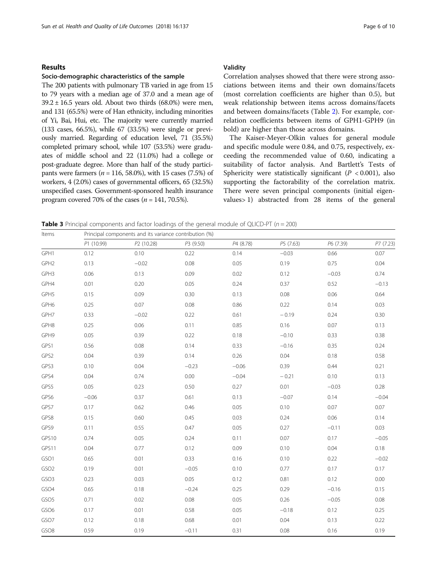# <span id="page-5-0"></span>Results

# Socio-demographic characteristics of the sample

The 200 patients with pulmonary TB varied in age from 15 to 79 years with a median age of 37.0 and a mean age of  $39.2 \pm 16.5$  years old. About two thirds (68.0%) were men, and 131 (65.5%) were of Han ethnicity, including minorities of Yi, Bai, Hui, etc. The majority were currently married (133 cases, 66.5%), while 67 (33.5%) were single or previously married. Regarding of education level, 71 (35.5%) completed primary school, while 107 (53.5%) were graduates of middle school and 22 (11.0%) had a college or post-graduate degree. More than half of the study participants were farmers ( $n = 116, 58.0\%$ ), with 15 cases (7.5%) of workers, 4 (2.0%) cases of governmental officers, 65 (32.5%) unspecified cases. Government-sponsored health insurance program covered 70% of the cases ( $n = 141, 70.5\%$ ).

# Validity

Correlation analyses showed that there were strong associations between items and their own domains/facets (most correlation coefficients are higher than 0.5), but weak relationship between items across domains/facets and between domains/facets (Table [2](#page-4-0)). For example, correlation coefficients between items of GPH1-GPH9 (in bold) are higher than those across domains.

The Kaiser-Meyer-Olkin values for general module and specific module were 0.84, and 0.75, respectively, exceeding the recommended value of 0.60, indicating a suitability of factor analysis. And Bartlett's Tests of Sphericity were statistically significant ( $P < 0.001$ ), also supporting the factorability of the correlation matrix. There were seven principal components (initial eigenvalues> 1) abstracted from 28 items of the general

**Table 3** Principal components and factor loadings of the general module of QLICD-PT ( $n = 200$ )

| Items            |            | Principal components and its variance contribution (%) |           |           |           |           |           |
|------------------|------------|--------------------------------------------------------|-----------|-----------|-----------|-----------|-----------|
|                  | P1 (10.99) | P2 (10.28)                                             | P3 (9.50) | P4 (8.78) | P5 (7.63) | P6 (7.39) | P7 (7.23) |
| GPH1             | 0.12       | 0.10                                                   | 0.22      | 0.14      | $-0.03$   | 0.66      | 0.07      |
| GPH <sub>2</sub> | 0.13       | $-0.02$                                                | 0.08      | 0.05      | 0.19      | 0.75      | 0.04      |
| GPH3             | 0.06       | 0.13                                                   | 0.09      | 0.02      | 0.12      | $-0.03$   | 0.74      |
| GPH4             | 0.01       | 0.20                                                   | 0.05      | 0.24      | 0.37      | 0.52      | $-0.13$   |
| GPH5             | 0.15       | 0.09                                                   | 0.30      | 0.13      | 0.08      | 0.06      | 0.64      |
| GPH6             | 0.25       | 0.07                                                   | 0.08      | 0.86      | 0.22      | 0.14      | 0.03      |
| GPH7             | 0.33       | $-0.02$                                                | 0.22      | 0.61      | $-0.19$   | 0.24      | 0.30      |
| GPH8             | 0.25       | 0.06                                                   | 0.11      | 0.85      | 0.16      | 0.07      | 0.13      |
| GPH9             | 0.05       | 0.39                                                   | 0.22      | 0.18      | $-0.10$   | 0.33      | 0.38      |
| GPS1             | 0.56       | 0.08                                                   | 0.14      | 0.33      | $-0.16$   | 0.35      | 0.24      |
| GPS2             | 0.04       | 0.39                                                   | 0.14      | 0.26      | 0.04      | 0.18      | 0.58      |
| GPS3             | 0.10       | 0.04                                                   | $-0.23$   | $-0.06$   | 0.39      | 0.44      | 0.21      |
| GPS4             | 0.04       | 0.74                                                   | 0.00      | $-0.04$   | $-0.21$   | 0.10      | 0.13      |
| GPS5             | 0.05       | 0.23                                                   | 0.50      | 0.27      | 0.01      | $-0.03$   | 0.28      |
| GPS6             | $-0.06$    | 0.37                                                   | 0.61      | 0.13      | $-0.07$   | 0.14      | $-0.04$   |
| GPS7             | 0.17       | 0.62                                                   | 0.46      | 0.05      | 0.10      | 0.07      | 0.07      |
| GPS8             | 0.15       | 0.60                                                   | 0.45      | 0.03      | 0.24      | 0.06      | 0.14      |
| GPS9             | 0.11       | 0.55                                                   | 0.47      | 0.05      | 0.27      | $-0.11$   | 0.03      |
| GPS10            | 0.74       | 0.05                                                   | 0.24      | 0.11      | 0.07      | 0.17      | $-0.05$   |
| GPS11            | 0.04       | 0.77                                                   | 0.12      | 0.09      | 0.10      | 0.04      | 0.18      |
| GSO1             | 0.65       | 0.01                                                   | 0.33      | 0.16      | 0.10      | 0.22      | $-0.02$   |
| GSO <sub>2</sub> | 0.19       | 0.01                                                   | $-0.05$   | 0.10      | 0.77      | 0.17      | 0.17      |
| GSO <sub>3</sub> | 0.23       | 0.03                                                   | 0.05      | 0.12      | 0.81      | 0.12      | 0.00      |
| GSO4             | 0.65       | 0.18                                                   | $-0.24$   | 0.25      | 0.29      | $-0.16$   | 0.15      |
| GSO <sub>5</sub> | 0.71       | 0.02                                                   | 0.08      | 0.05      | 0.26      | $-0.05$   | 0.08      |
| GSO <sub>6</sub> | 0.17       | 0.01                                                   | 0.58      | 0.05      | $-0.18$   | 0.12      | 0.25      |
| GSO7             | 0.12       | 0.18                                                   | 0.68      | 0.01      | 0.04      | 0.13      | 0.22      |
| GSO8             | 0.59       | 0.19                                                   | $-0.11$   | 0.31      | 0.08      | 0.16      | 0.19      |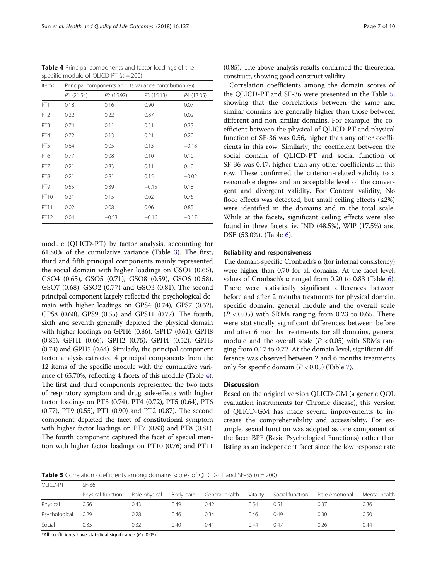|       | Table 4 Principal components and factor loadings of the |
|-------|---------------------------------------------------------|
|       | specific module of QLICD-PT $(n = 200)$                 |
| Items | Principal components and its variance contribution (%)  |

| Items           |           |                        | Principal components and its variance contribution (%) |            |
|-----------------|-----------|------------------------|--------------------------------------------------------|------------|
|                 | P1(21.54) | P <sub>2</sub> (15.97) | P3 (15.13)                                             | P4 (13.05) |
| PT <sub>1</sub> | 0.18      | 0.16                   | 0.90                                                   | 0.07       |
| PT <sub>2</sub> | 0.22      | 0.22                   | 0.87                                                   | 0.02       |
| PT <sub>3</sub> | 0.74      | 0.11                   | 0.31                                                   | 0.33       |
| PT4             | 0.72      | 0.13                   | 0.21                                                   | 0.20       |
| PT5             | 0.64      | 0.05                   | 0.13                                                   | $-0.18$    |
| PT <sub>6</sub> | 0.77      | 0.08                   | 0.10                                                   | 0.10       |
| PT7             | 0.21      | 0.83                   | 0.11                                                   | 0.10       |
| PT <sub>8</sub> | 0.21      | 0.81                   | 0.15                                                   | $-0.02$    |
| PT <sub>9</sub> | 0.55      | 0.39                   | $-0.15$                                                | 0.18       |
| <b>PT10</b>     | 0.21      | 0.15                   | 0.02                                                   | 0.76       |
| PT11            | 0.02      | 0.08                   | 0.06                                                   | 0.85       |
| PT12            | 0.04      | $-0.53$                | $-0.16$                                                | $-0.17$    |

module (QLICD-PT) by factor analysis, accounting for 61.80% of the cumulative variance (Table [3\)](#page-5-0). The first, third and fifth principal components mainly represented the social domain with higher loadings on GSO1 (0.65), GSO4 (0.65), GSO5 (0.71), GSO8 (0.59), GSO6 (0.58), GSO7 (0.68), GSO2 (0.77) and GSO3 (0.81). The second principal component largely reflected the psychological domain with higher loadings on GPS4 (0.74), GPS7 (0.62), GPS8 (0.60), GPS9 (0.55) and GPS11 (0.77). The fourth, sixth and seventh generally depicted the physical domain with higher loadings on GPH6 (0.86), GPH7 (0.61), GPH8 (0.85), GPH1 (0.66), GPH2 (0.75), GPH4 (0.52), GPH3 (0.74) and GPH5 (0.64). Similarly, the principal component factor analysis extracted 4 principal components from the 12 items of the specific module with the cumulative variance of 65.70%, reflecting 4 facets of this module (Table 4). The first and third components represented the two facts of respiratory symptom and drug side-effects with higher factor loadings on PT3 (0.74), PT4 (0.72), PT5 (0.64), PT6 (0.77), PT9 (0.55), PT1 (0.90) and PT2 (0.87). The second component depicted the facet of constitutional symptom with higher factor loadings on PT7 (0.83) and PT8 (0.81). The fourth component captured the facet of special mention with higher factor loadings on PT10 (0.76) and PT11

(0.85). The above analysis results confirmed the theoretical construct, showing good construct validity.

Correlation coefficients among the domain scores of the QLICD-PT and SF-36 were presented in the Table 5, showing that the correlations between the same and similar domains are generally higher than those between different and non-similar domains. For example, the coefficient between the physical of QLICD-PT and physical function of SF-36 was 0.56, higher than any other coefficients in this row. Similarly, the coefficient between the social domain of QLICD-PT and social function of SF-36 was 0.47, higher than any other coefficients in this row. These confirmed the criterion-related validity to a reasonable degree and an acceptable level of the convergent and divergent validity. For Content validity, No floor effects was detected, but small ceiling effects  $(\leq 2\%)$ were identified in the domains and in the total scale. While at the facets, significant ceiling effects were also found in three facets, ie. IND (48.5%), WIP (17.5%) and DSE (53.0%). (Table [6\)](#page-7-0).

# Reliability and responsiveness

The domain-specific Cronbach's  $\alpha$  (for internal consistency) were higher than 0.70 for all domains. At the facet level, values of Cronbach's α ranged from 0.20 to 0.83 (Table [6](#page-7-0)). There were statistically significant differences between before and after 2 months treatments for physical domain, specific domain, general module and the overall scale  $(P < 0.05)$  with SRMs ranging from 0.23 to 0.65. There were statistically significant differences between before and after 6 months treatments for all domains, general module and the overall scale ( $P < 0.05$ ) with SRMs ranging from 0.17 to 0.72. At the domain level, significant difference was observed between 2 and 6 months treatments only for specific domain  $(P < 0.05)$  (Table [7\)](#page-7-0).

# **Discussion**

Based on the original version QLICD-GM (a generic QOL evaluation instruments for Chronic disease), this version of QLICD-GM has made several improvements to increase the comprehensibility and accessibility. For example, sexual function was adopted as one component of the facet BPF (Basic Psychological Functions) rather than listing as an independent facet since the low response rate

**Table 5** Correlation coefficients among domains scores of QLICD-PT and SF-36 ( $n = 200$ )

| OLICD-PT      | SF-36             |               |           |                |          |                 |                |               |  |  |
|---------------|-------------------|---------------|-----------|----------------|----------|-----------------|----------------|---------------|--|--|
|               | Physical function | Role-physical | Body pain | General health | Vitality | Social function | Role-emotional | Mental health |  |  |
| Physical      | 0.56              | 0.43          | 0.49      | 0.42           | 0.54     | 0.51            |                | 0.36          |  |  |
| Psychological | 0.29              | 0.28          | 0.46      | 0.34           | 0.46     | 0.49            | 0.30           | 0.50          |  |  |
| Social        | 0.35              | 0.32          | 0.40      | 0.41           | 0.44     | 0.47            | 0.26           | 0.44          |  |  |

\*All coefficients have statistical significance ( $P < 0.05$ )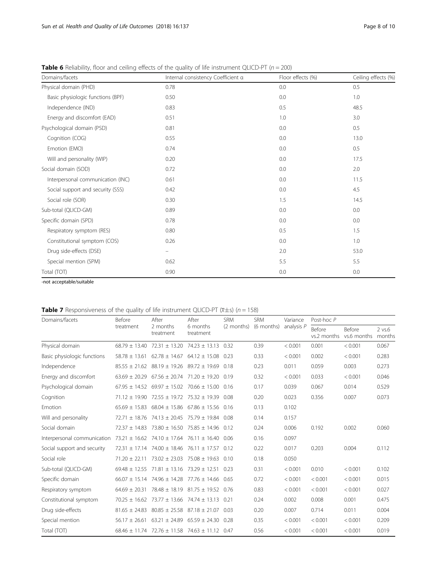| Domains/facets                    | Internal consistency Coefficient a | Floor effects (%) | Ceiling effects (%) |
|-----------------------------------|------------------------------------|-------------------|---------------------|
| Physical domain (PHD)             | 0.78                               | 0.0               | 0.5                 |
| Basic physiologic functions (BPF) | 0.50                               | 0.0               | 1.0                 |
| Independence (IND)                | 0.83                               | 0.5               | 48.5                |
| Energy and discomfort (EAD)       | 0.51                               | 1.0               | 3.0                 |
| Psychological domain (PSD)        | 0.81                               | 0.0               | 0.5                 |
| Cognition (COG)                   | 0.55                               | 0.0               | 13.0                |
| Emotion (EMO)                     | 0.74                               | 0.0               | 0.5                 |
| Will and personality (WIP)        | 0.20                               | 0.0               | 17.5                |
| Social domain (SOD)               | 0.72                               | 0.0               | 2.0                 |
| Interpersonal communication (INC) | 0.61                               | 0.0               | 11.5                |
| Social support and security (SSS) | 0.42                               | 0.0               | 4.5                 |
| Social role (SOR)                 | 0.30                               | 1.5               | 14.5                |
| Sub-total (QLICD-GM)              | 0.89                               | 0.0               | 0.0                 |
| Specific domain (SPD)             | 0.78                               | 0.0               | 0.0                 |
| Respiratory symptom (RES)         | 0.80                               | 0.5               | 1.5                 |
| Constitutional symptom (COS)      | 0.26                               | 0.0               | 1.0                 |
| Drug side-effects (DSE)           | $\overline{\phantom{m}}$           | 2.0               | 53.0                |
| Special mention (SPM)             | 0.62                               | 5.5               | 5.5                 |
| Total (TOT)                       | 0.90                               | 0.0               | 0.0                 |

<span id="page-7-0"></span>**Table 6** Reliability, floor and ceiling effects of the quality of life instrument QLICD-PT ( $n = 200$ )

-not acceptable/suitable

**Table 7** Responsiveness of the quality of life instrument QLICD-PT  $(\overline{x} \pm s)$  (n = 158)

| Domains/facets              | Before            | After                                                      | After                                    | <b>SRM</b> | <b>SRM</b> | Variance   | Post-hoc $P$                 |                              |                       |  |
|-----------------------------|-------------------|------------------------------------------------------------|------------------------------------------|------------|------------|------------|------------------------------|------------------------------|-----------------------|--|
|                             | treatment         | 2 months<br>treatment                                      | 6 months<br>treatment                    | (2 months) | (6 months) | analysis P | <b>Before</b><br>vs.2 months | <b>Before</b><br>vs.6 months | $2$ vs. $6$<br>months |  |
| Physical domain             | $68.79 \pm 13.40$ |                                                            | $72.31 \pm 13.20$ $74.23 \pm 13.13$ 0.32 |            | 0.39       | < 0.001    | 0.001                        | < 0.001                      | 0.067                 |  |
| Basic physiologic functions | $58.78 \pm 13.61$ | $62.78 \pm 14.67$                                          | $64.12 \pm 15.08$                        | 0.23       | 0.33       | < 0.001    | 0.002                        | < 0.001                      | 0.283                 |  |
| Independence                |                   | $85.55 \pm 21.62$ $88.19 \pm 19.26$ $89.72 \pm 19.69$ 0.18 |                                          |            | 0.23       | 0.011      | 0.059                        | 0.003                        | 0.273                 |  |
| Energy and discomfort       | $63.69 \pm 20.29$ | $67.56 \pm 20.74$ 71.20 $\pm$ 19.20                        |                                          | 0.19       | 0.32       | < 0.001    | 0.033                        | < 0.001                      | 0.046                 |  |
| Psychological domain        |                   | $67.95 \pm 14.52$ $69.97 \pm 15.02$ $70.66 \pm 15.00$ 0.16 |                                          |            | 0.17       | 0.039      | 0.067                        | 0.014                        | 0.529                 |  |
| Cognition                   | $71.12 \pm 19.90$ | 72.55 ± 19.72 75.32 ± 19.39                                |                                          | 0.08       | 0.20       | 0.023      | 0.356                        | 0.007                        | 0.073                 |  |
| Emotion                     |                   | $65.69 \pm 15.83$ 68.04 $\pm$ 15.86 67.86 $\pm$ 15.56 0.16 |                                          |            | 0.13       | 0.102      |                              |                              |                       |  |
| Will and personality        |                   | $72.71 \pm 18.76$ 74.13 $\pm$ 20.45                        | $75.79 \pm 19.84$                        | 0.08       | 0.14       | 0.157      |                              |                              |                       |  |
| Social domain               | $72.37 + 14.83$   | $73.80 \pm 16.50$ 75.85 $\pm$ 14.96                        |                                          | 0.12       | 0.24       | 0.006      | 0.192                        | 0.002                        | 0.060                 |  |
| Interpersonal communication |                   | 73.21 ± 16.62 74.10 ± 17.64 76.11 ± 16.40                  |                                          | 0.06       | 0.16       | 0.097      |                              |                              |                       |  |
| Social support and security |                   | $72.31 \pm 17.14$ 74.00 $\pm$ 18.46 76.11 $\pm$ 17.57      |                                          | 0.12       | 0.22       | 0.017      | 0.203                        | 0.004                        | 0.112                 |  |
| Social role                 | $71.20 \pm 22.11$ | $73.02 \pm 23.03$                                          | $75.08 \pm 19.63$                        | 0.10       | 0.18       | 0.050      |                              |                              |                       |  |
| Sub-total (QLICD-GM)        |                   | $69.48 \pm 12.55$ 71.81 $\pm$ 13.16 73.29 $\pm$ 12.51      |                                          | 0.23       | 0.31       | < 0.001    | 0.010                        | < 0.001                      | 0.102                 |  |
| Specific domain             |                   | $66.07 \pm 15.14$ 74.96 $\pm$ 14.28 77.76 $\pm$ 14.66      |                                          | 0.65       | 0.72       | < 0.001    | < 0.001                      | < 0.001                      | 0.015                 |  |
| Respiratory symptom         | $64.69 \pm 20.31$ | $78.48 \pm 18.19$ 81.75 $\pm$ 19.52                        |                                          | 0.76       | 0.83       | < 0.001    | < 0.001                      | < 0.001                      | 0.027                 |  |
| Constitutional symptom      |                   | $70.25 \pm 16.62$ 73.77 $\pm$ 13.66 74.74 $\pm$ 13.13      |                                          | 0.21       | 0.24       | 0.002      | 0.008                        | 0.001                        | 0.475                 |  |
| Drug side-effects           | $81.65 \pm 24.83$ | $80.85 \pm 25.58$                                          | $87.18 \pm 21.07$                        | 0.03       | 0.20       | 0.007      | 0.714                        | 0.011                        | 0.004                 |  |
| Special mention             | $56.17 \pm 26.61$ |                                                            | $63.21 \pm 24.89$ $65.59 \pm 24.30$ 0.28 |            | 0.35       | < 0.001    | < 0.001                      | < 0.001                      | 0.209                 |  |
| Total (TOT)                 |                   | $68.46 \pm 11.74$ 72.76 $\pm$ 11.58 74.63 $\pm$ 11.12 0.47 |                                          |            | 0.56       | < 0.001    | < 0.001                      | < 0.001                      | 0.019                 |  |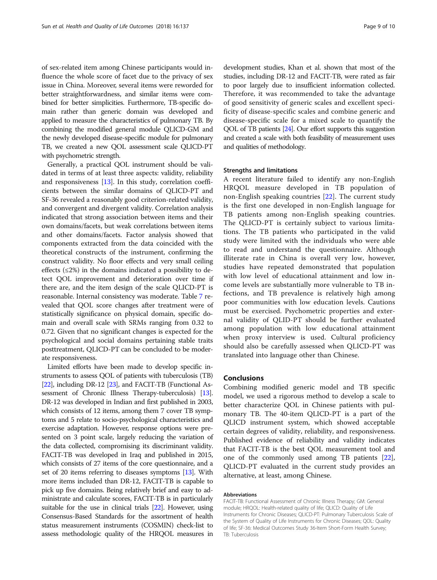of sex-related item among Chinese participants would influence the whole score of facet due to the privacy of sex issue in China. Moreover, several items were reworded for better straightforwardness, and similar items were combined for better simplicities. Furthermore, TB-specific domain rather than generic domain was developed and applied to measure the characteristics of pulmonary TB. By combining the modified general module QLICD-GM and the newly developed disease-specific module for pulmonary TB, we created a new QOL assessment scale QLICD-PT with psychometric strength.

Generally, a practical QOL instrument should be validated in terms of at least three aspects: validity, reliability and responsiveness [\[13\]](#page-9-0). In this study, correlation coefficients between the similar domains of QLICD-PT and SF-36 revealed a reasonably good criterion-related validity, and convergent and divergent validity. Correlation analysis indicated that strong association between items and their own domains/facets, but weak correlations between items and other domains/facets. Factor analysis showed that components extracted from the data coincided with the theoretical constructs of the instrument, confirming the construct validity. No floor effects and very small ceiling effects  $(\leq 2\%)$  in the domains indicated a possibility to detect QOL improvement and deterioration over time if there are, and the item design of the scale QLICD-PT is reasonable. Internal consistency was moderate. Table [7](#page-7-0) revealed that QOL score changes after treatment were of statistically significance on physical domain, specific domain and overall scale with SRMs ranging from 0.32 to 0.72. Given that no significant changes is expected for the psychological and social domains pertaining stable traits posttreatment, QLICD-PT can be concluded to be moderate responsiveness.

Limited efforts have been made to develop specific instruments to assess QOL of patients with tuberculosis (TB) [[22](#page-9-0)], including DR-12 [[23](#page-9-0)], and FACIT-TB (Functional As-sessment of Chronic Illness Therapy-tuberculosis) [\[13](#page-9-0)]. DR-12 was developed in Indian and first published in 2003, which consists of 12 items, among them 7 cover TB symptoms and 5 relate to socio-psychological characteristics and exercise adaptation. However, response options were presented on 3 point scale, largely reducing the variation of the data collected, compromising its discriminant validity. FACIT-TB was developed in Iraq and published in 2015, which consists of 27 items of the core questionnaire, and a set of 20 items referring to diseases symptoms [\[13](#page-9-0)]. With more items included than DR-12, FACIT-TB is capable to pick up five domains. Being relatively brief and easy to administrate and calculate scores, FACIT-TB is in particularly suitable for the use in clinical trials [\[22](#page-9-0)]. However, using Consensus-Based Standards for the assortment of health status measurement instruments (COSMIN) check-list to assess methodologic quality of the HRQOL measures in development studies, Khan et al. shown that most of the studies, including DR-12 and FACIT-TB, were rated as fair to poor largely due to insufficient information collected. Therefore, it was recommended to take the advantage of good sensitivity of generic scales and excellent specificity of disease-specific scales and combine generic and disease-specific scale for a mixed scale to quantify the QOL of TB patients [\[24\]](#page-9-0). Our effort supports this suggestion and created a scale with both feasibility of measurement uses and qualities of methodology.

# Strengths and limitations

A recent literature failed to identify any non-English HRQOL measure developed in TB population of non-English speaking countries [\[22](#page-9-0)]. The current study is the first one developed in non-English language for TB patients among non-English speaking countries. The QLICD-PT is certainly subject to various limitations. The TB patients who participated in the valid study were limited with the individuals who were able to read and understand the questionnaire. Although illiterate rate in China is overall very low, however, studies have repeated demonstrated that population with low level of educational attainment and low income levels are substantially more vulnerable to TB infections, and TB prevalence is relatively high among poor communities with low education levels. Cautions must be exercised. Psychometric properties and external validity of QLID-PT should be further evaluated among population with low educational attainment when proxy interview is used. Cultural proficiency should also be carefully assessed when QLICD-PT was translated into language other than Chinese.

# Conclusions

Combining modified generic model and TB specific model, we used a rigorous method to develop a scale to better characterize QOL in Chinese patients with pulmonary TB. The 40-item QLICD-PT is a part of the QLICD instrument system, which showed acceptable certain degrees of validity, reliability, and responsiveness. Published evidence of reliability and validity indicates that FACIT-TB is the best QOL measurement tool and one of the commonly used among TB patients [\[22](#page-9-0)], QLICD-PT evaluated in the current study provides an alternative, at least, among Chinese.

# Abbreviations

FACIT-TB: Functional Assessment of Chronic Illness Therapy; GM: General module; HRQOL: Health-related quality of life; QLICD: Quality of Life Instruments for Chronic Diseases; QLICD-PT: Pulmonary Tuberculosis Scale of the System of Quality of Life Instruments for Chronic Diseases; QOL: Quality of life; SF-36: Medical Outcomes Study 36-Item Short-Form Health Survey; TB: Tuberculosis